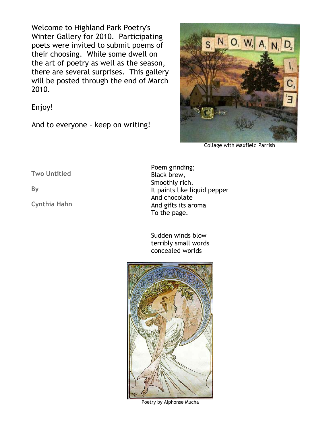Welcome to Highland Park Poetry's Winter Gallery for 2010. Participating poets were invited to submit poems of their choosing. While some dwell on the art of poetry as well as the season, there are several surprises. This gallery will be posted through the end of March 2010.

Enjoy!

And to everyone - keep on writing!



Collage with Maxfield Parrish

**Two Untitled** 

**By** 

**Cynthia Hahn**

Poem grinding; Black brew, Smoothly rich. It paints like liquid pepper And chocolate And gifts its aroma To the page.

Sudden winds blow terribly small words concealed worlds



Poetry by Alphonse Mucha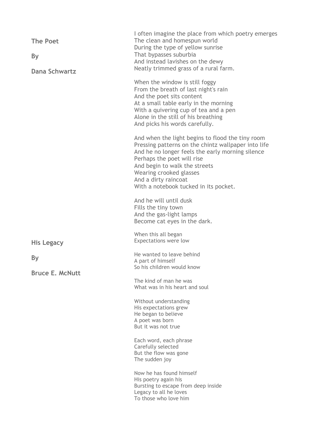| <b>The Poet</b><br>By<br><b>Dana Schwartz</b> | I often imagine the place from which poetry emerges<br>The clean and homespun world<br>During the type of yellow sunrise<br>That bypasses suburbia<br>And instead lavishes on the dewy<br>Neatly trimmed grass of a rural farm.                                                                                        |
|-----------------------------------------------|------------------------------------------------------------------------------------------------------------------------------------------------------------------------------------------------------------------------------------------------------------------------------------------------------------------------|
|                                               | When the window is still foggy<br>From the breath of last night's rain<br>And the poet sits content<br>At a small table early in the morning<br>With a quivering cup of tea and a pen<br>Alone in the still of his breathing<br>And picks his words carefully.                                                         |
|                                               | And when the light begins to flood the tiny room<br>Pressing patterns on the chintz wallpaper into life<br>And he no longer feels the early morning silence<br>Perhaps the poet will rise<br>And begin to walk the streets<br>Wearing crooked glasses<br>And a dirty raincoat<br>With a notebook tucked in its pocket. |
|                                               | And he will until dusk<br>Fills the tiny town<br>And the gas-light lamps<br>Become cat eyes in the dark.                                                                                                                                                                                                               |
| His Legacy                                    | When this all began<br>Expectations were low                                                                                                                                                                                                                                                                           |
| By<br><b>Bruce E. McNutt</b>                  | He wanted to leave behind<br>A part of himself<br>So his children would know                                                                                                                                                                                                                                           |
|                                               | The kind of man he was<br>What was in his heart and soul                                                                                                                                                                                                                                                               |
|                                               | Without understanding<br>His expectations grew<br>He began to believe<br>A poet was born<br>But it was not true                                                                                                                                                                                                        |
|                                               | Each word, each phrase<br>Carefully selected<br>But the flow was gone<br>The sudden joy                                                                                                                                                                                                                                |
|                                               | Now he has found himself<br>His poetry again his<br>Bursting to escape from deep inside<br>Legacy to all he loves<br>To those who love him                                                                                                                                                                             |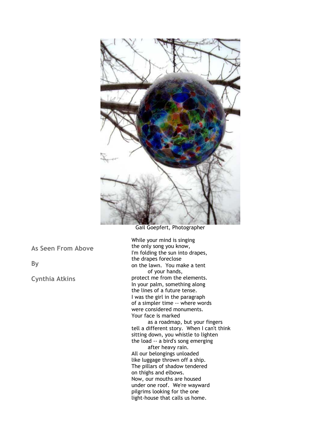

Gail Goepfert, Photographer

**As Seen From Above** 

**By** 

**Cynthia Atkins**

While your mind is singing the only song you know, I'm folding the sun into drapes, the drapes foreclose on the lawn. You make a tent of your hands, protect me from the elements. In your palm, something along the lines of a future tense. I was the girl in the paragraph of a simpler time -- where words were considered monuments. Your face is marked

 as a roadmap, but your fingers tell a different story. When I can't think sitting down, you whistle to lighten the load -- a bird's song emerging after heavy rain. All our belongings unloaded like luggage thrown off a ship. The pillars of shadow tendered on thighs and elbows. Now, our mouths are housed under one roof. We're wayward pilgrims looking for the one light-house that calls us home.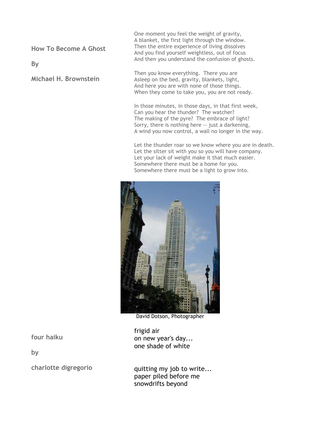**How To Become A Ghost** 

**By** 

**Michael H. Brownstein**

One moment you feel the weight of gravity, A blanket, the first light through the window. Then the entire experience of living dissolves And you find yourself weightless, out of focus And then you understand the confusion of ghosts.

Then you know everything. There you are Asleep on the bed, gravity, blankets, light, And here you are with none of those things. When they come to take you, you are not ready.

In those minutes, in those days, in that first week, Can you hear the thunder? The watcher? The making of the pyre? The embrace of light? Sorry, there is nothing here -- just a darkening, A wind you now control, a wall no longer in the way.

Let the thunder roar so we know where you are in death. Let the sitter sit with you so you will have company. Let your lack of weight make it that much easier. Somewhere there must be a home for you. Somewhere there must be a light to grow into.



David Dotson, Photographer

frigid air on new year's day... one shade of white

**four haiku** 

**by** 

**charlotte digregorio**

quitting my job to write... paper piled before me snowdrifts beyond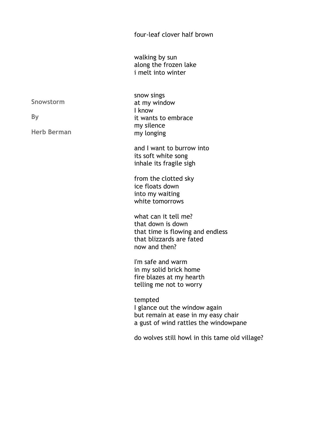four-leaf clover half brown

walking by sun along the frozen lake i melt into winter

snow sings at my window I know it wants to embrace my silence my longing

and I want to burrow into its soft white song inhale its fragile sigh

from the clotted sky ice floats down into my waiting white tomorrows

what can it tell me? that down is down that time is flowing and endless that blizzards are fated now and then?

I'm safe and warm in my solid brick home fire blazes at my hearth telling me not to worry

tempted I glance out the window again but remain at ease in my easy chair a gust of wind rattles the windowpane

do wolves still howl in this tame old village?

**Snowstorm** 

**By** 

**Herb Berman**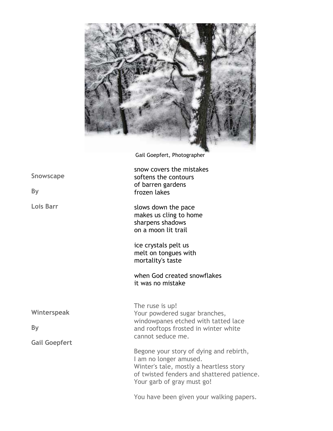

Gail Goepfert, Photographer

snow covers the mistakes softens the contours of barren gardens frozen lakes

slows down the pace makes us cling to home sharpens shadows on a moon lit trail

ice crystals pelt us melt on tongues with mortality's taste

when God created snowflakes it was no mistake

**Winterspeak** 

**By** 

**Gail Goepfert**

The ruse is up! Your powdered sugar branches, windowpanes etched with tatted lace and rooftops frosted in winter white cannot seduce me.

Begone your story of dying and rebirth, I am no longer amused. Winter's tale, mostly a heartless story of twisted fenders and shattered patience. Your garb of gray must go!

You have been given your walking papers.

**Snowscape** 

**By** 

**Lois Barr**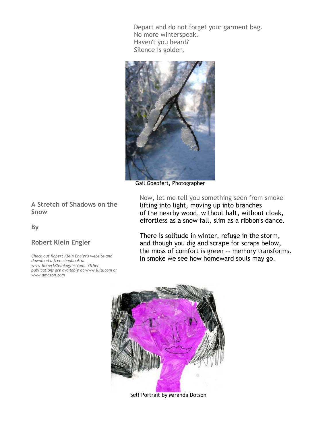Depart and do not forget your garment bag. No more winterspeak. Haven't you heard? Silence is golden.



Gail Goepfert, Photographer

Now, let me tell you something seen from smoke lifting into light, moving up into branches of the nearby wood, without halt, without cloak, effortless as a snow fall, slim as a ribbon's dance.

There is solitude in winter, refuge in the storm, and though you dig and scrape for scraps below, the moss of comfort is green -- memory transforms. In smoke we see how homeward souls may go.



Self Portrait by Miranda Dotson

**A Stretch of Shadows on the Snow** 

**By** 

## **Robert Klein Engler**

*Check out Robert Klein Engler's website and download a free chapbook at www.RobertKleinEngler.com. Other publications are available at www.lulu.com or www.amazon.com*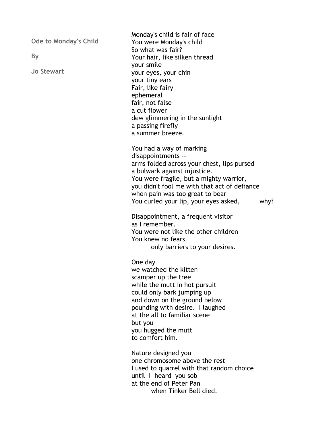**Ode to Monday's Child** 

**By** 

**Jo Stewart**

Monday's child is fair of face You were Monday's child So what was fair? Your hair, like silken thread your smile your eyes, your chin your tiny ears Fair, like fairy ephemeral fair, not false a cut flower dew glimmering in the sunlight a passing firefly a summer breeze.

You had a way of marking disappointments - arms folded across your chest, lips pursed a bulwark against injustice. You were fragile, but a mighty warrior, you didn't fool me with that act of defiance when pain was too great to bear You curled your lip, your eyes asked, why?

Disappointment, a frequent visitor as I remember. You were not like the other children You knew no fears only barriers to your desires.

One day we watched the kitten scamper up the tree while the mutt in hot pursuit could only bark jumping up and down on the ground below pounding with desire. I laughed at the all to familiar scene but you you hugged the mutt to comfort him.

Nature designed you one chromosome above the rest I used to quarrel with that random choice until I heard you sob at the end of Peter Pan when Tinker Bell died.